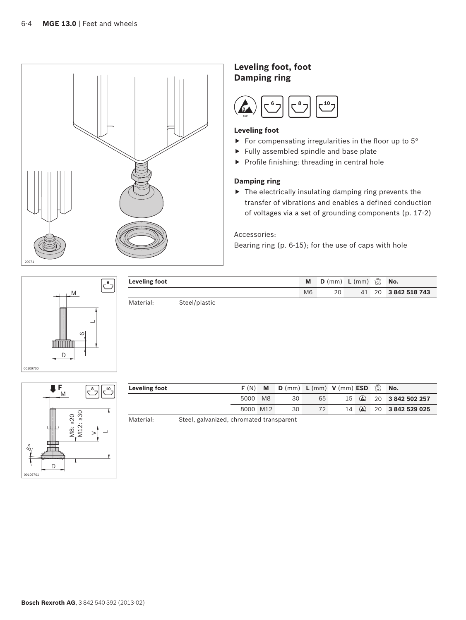

## **Leveling foot, foot Damping ring**



## **Leveling foot**

- For compensating irregularities in the floor up to  $5^{\circ}$
- $\blacktriangleright$  Fully assembled spindle and base plate
- $\blacktriangleright$  Profile finishing: threading in central hole

## **Damping ring**

 $\blacktriangleright$  The electrically insulating damping ring prevents the transfer of vibrations and enables a defined conduction of voltages via a set of grounding components (p. 17-2)

Accessories:

Bearing ring (p. 6-15); for the use of caps with hole



| Leveling foot |               | M              | D (mm) L (mm) |  | No.                |
|---------------|---------------|----------------|---------------|--|--------------------|
|               |               | M <sub>6</sub> | 20            |  | 41 20 3842 518 743 |
| Material:     | Steel/plastic |                |               |  |                    |



| Leveling foot | F(N)     | M              | D (mm) L (mm) V (mm) ESD 13 No. |    |    |          |                                  |
|---------------|----------|----------------|---------------------------------|----|----|----------|----------------------------------|
|               | 5000     | M <sub>8</sub> | 30                              | 65 | 15 |          | <b>a</b> 20 <b>3 842 502 257</b> |
|               | 8000 M12 |                | 30                              |    | 14 | $\omega$ | 20 3 842 529 025                 |

Material: Steel, galvanized, chromated transparent